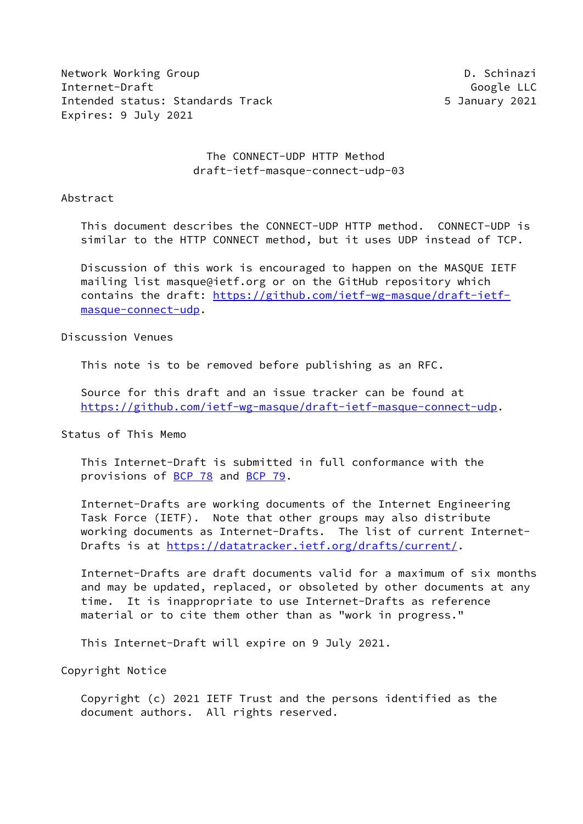Network Working Group Description of the U.S. Schinazi Internet-Draft Google LLC Intended status: Standards Track 5 January 2021 Expires: 9 July 2021

## The CONNECT-UDP HTTP Method draft-ietf-masque-connect-udp-03

#### Abstract

 This document describes the CONNECT-UDP HTTP method. CONNECT-UDP is similar to the HTTP CONNECT method, but it uses UDP instead of TCP.

 Discussion of this work is encouraged to happen on the MASQUE IETF mailing list masque@ietf.org or on the GitHub repository which contains the draft: [https://github.com/ietf-wg-masque/draft-ietf](https://github.com/ietf-wg-masque/draft-ietf-masque-connect-udp) [masque-connect-udp](https://github.com/ietf-wg-masque/draft-ietf-masque-connect-udp).

#### Discussion Venues

This note is to be removed before publishing as an RFC.

 Source for this draft and an issue tracker can be found at <https://github.com/ietf-wg-masque/draft-ietf-masque-connect-udp>.

#### Status of This Memo

 This Internet-Draft is submitted in full conformance with the provisions of [BCP 78](https://datatracker.ietf.org/doc/pdf/bcp78) and [BCP 79](https://datatracker.ietf.org/doc/pdf/bcp79).

 Internet-Drafts are working documents of the Internet Engineering Task Force (IETF). Note that other groups may also distribute working documents as Internet-Drafts. The list of current Internet- Drafts is at<https://datatracker.ietf.org/drafts/current/>.

 Internet-Drafts are draft documents valid for a maximum of six months and may be updated, replaced, or obsoleted by other documents at any time. It is inappropriate to use Internet-Drafts as reference material or to cite them other than as "work in progress."

This Internet-Draft will expire on 9 July 2021.

Copyright Notice

 Copyright (c) 2021 IETF Trust and the persons identified as the document authors. All rights reserved.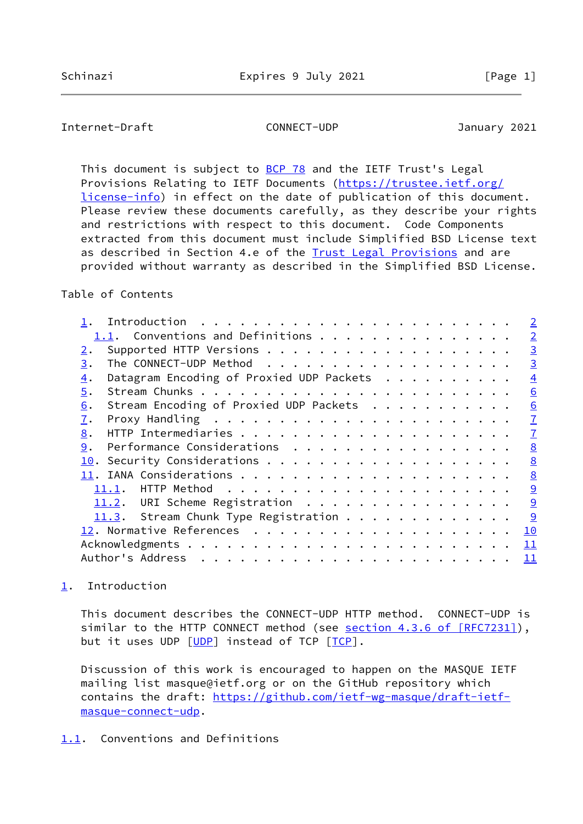<span id="page-1-1"></span>This document is subject to [BCP 78](https://datatracker.ietf.org/doc/pdf/bcp78) and the IETF Trust's Legal Provisions Relating to IETF Documents ([https://trustee.ietf.org/](https://trustee.ietf.org/license-info) [license-info](https://trustee.ietf.org/license-info)) in effect on the date of publication of this document. Please review these documents carefully, as they describe your rights and restrictions with respect to this document. Code Components extracted from this document must include Simplified BSD License text as described in Section 4.e of the **[Trust Legal Provisions](https://trustee.ietf.org/license-info)** and are provided without warranty as described in the Simplified BSD License.

## Table of Contents

|                                                              | $\overline{2}$ |
|--------------------------------------------------------------|----------------|
| 1.1. Conventions and Definitions                             | $\overline{2}$ |
| 2.                                                           | $\overline{3}$ |
| 3.                                                           | $\overline{3}$ |
| Datagram Encoding of Proxied UDP Packets<br>$\overline{4}$ . | $\overline{4}$ |
| 5.                                                           | 6              |
| Stream Encoding of Proxied UDP Packets<br>6.                 | 6              |
| 7.                                                           | $\overline{1}$ |
| 8.                                                           | $\overline{1}$ |
| Performance Considerations<br>9.                             | 8              |
| 10.                                                          | 8              |
|                                                              | 8              |
|                                                              | 9              |
| 11.2. URI Scheme Registration                                | 9              |
| 11.3. Stream Chunk Type Registration                         | 9              |
|                                                              | 10             |
|                                                              | 11             |
| Author's Address                                             | 11             |
|                                                              |                |

# <span id="page-1-0"></span>[1](#page-1-0). Introduction

 This document describes the CONNECT-UDP HTTP method. CONNECT-UDP is similar to the HTTP CONNECT method (see section [4.3.6 of \[RFC7231\]](https://datatracker.ietf.org/doc/pdf/rfc7231#section-4.3.6)), but it uses UDP [\[UDP](#page-11-1)] instead of TCP [\[TCP](#page-11-2)].

 Discussion of this work is encouraged to happen on the MASQUE IETF mailing list masque@ietf.org or on the GitHub repository which contains the draft: [https://github.com/ietf-wg-masque/draft-ietf](https://github.com/ietf-wg-masque/draft-ietf-masque-connect-udp) [masque-connect-udp](https://github.com/ietf-wg-masque/draft-ietf-masque-connect-udp).

### <span id="page-1-2"></span>[1.1](#page-1-2). Conventions and Definitions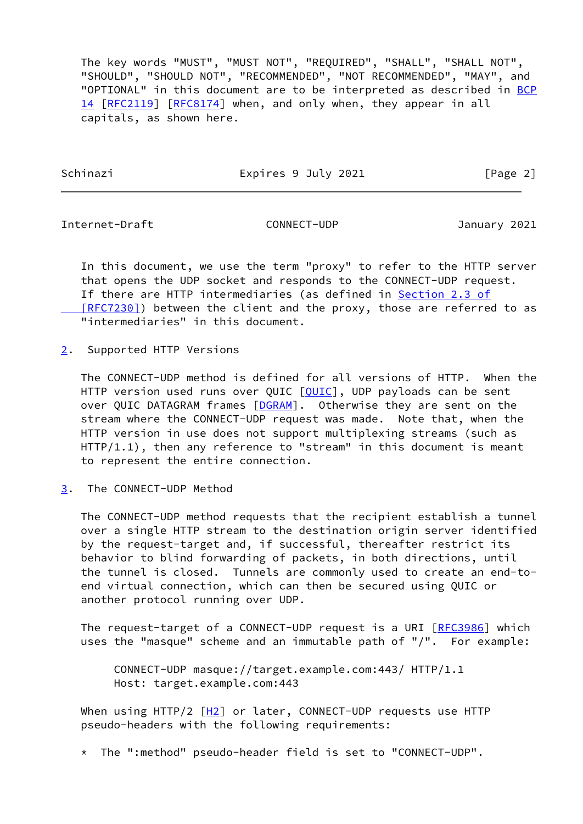The key words "MUST", "MUST NOT", "REQUIRED", "SHALL", "SHALL NOT", "SHOULD", "SHOULD NOT", "RECOMMENDED", "NOT RECOMMENDED", "MAY", and "OPTIONAL" in this document are to be interpreted as described in [BCP](https://datatracker.ietf.org/doc/pdf/bcp14) [14](https://datatracker.ietf.org/doc/pdf/bcp14) [[RFC2119\]](https://datatracker.ietf.org/doc/pdf/rfc2119) [\[RFC8174](https://datatracker.ietf.org/doc/pdf/rfc8174)] when, and only when, they appear in all capitals, as shown here.

Schinazi Expires 9 July 2021 [Page 2]

<span id="page-2-1"></span>Internet-Draft CONNECT-UDP January 2021

 In this document, we use the term "proxy" to refer to the HTTP server that opens the UDP socket and responds to the CONNECT-UDP request. If there are HTTP intermediaries (as defined in [Section](https://datatracker.ietf.org/doc/pdf/rfc7230#section-2.3) 2.3 of [RFC7230]) between the client and the proxy, those are referred to as "intermediaries" in this document.

<span id="page-2-0"></span>[2](#page-2-0). Supported HTTP Versions

 The CONNECT-UDP method is defined for all versions of HTTP. When the HTTP version used runs over QUIC [\[QUIC](#page-10-2)], UDP payloads can be sent over QUIC DATAGRAM frames [[DGRAM\]](#page-10-3). Otherwise they are sent on the stream where the CONNECT-UDP request was made. Note that, when the HTTP version in use does not support multiplexing streams (such as HTTP/1.1), then any reference to "stream" in this document is meant to represent the entire connection.

<span id="page-2-2"></span>[3](#page-2-2). The CONNECT-UDP Method

 The CONNECT-UDP method requests that the recipient establish a tunnel over a single HTTP stream to the destination origin server identified by the request-target and, if successful, thereafter restrict its behavior to blind forwarding of packets, in both directions, until the tunnel is closed. Tunnels are commonly used to create an end-to end virtual connection, which can then be secured using QUIC or another protocol running over UDP.

The request-target of a CONNECT-UDP request is a URI [\[RFC3986](https://datatracker.ietf.org/doc/pdf/rfc3986)] which uses the "masque" scheme and an immutable path of "/". For example:

 CONNECT-UDP masque://target.example.com:443/ HTTP/1.1 Host: target.example.com:443

When using HTTP/2  $[H2]$  $[H2]$  or later, CONNECT-UDP requests use HTTP pseudo-headers with the following requirements:

\* The ":method" pseudo-header field is set to "CONNECT-UDP".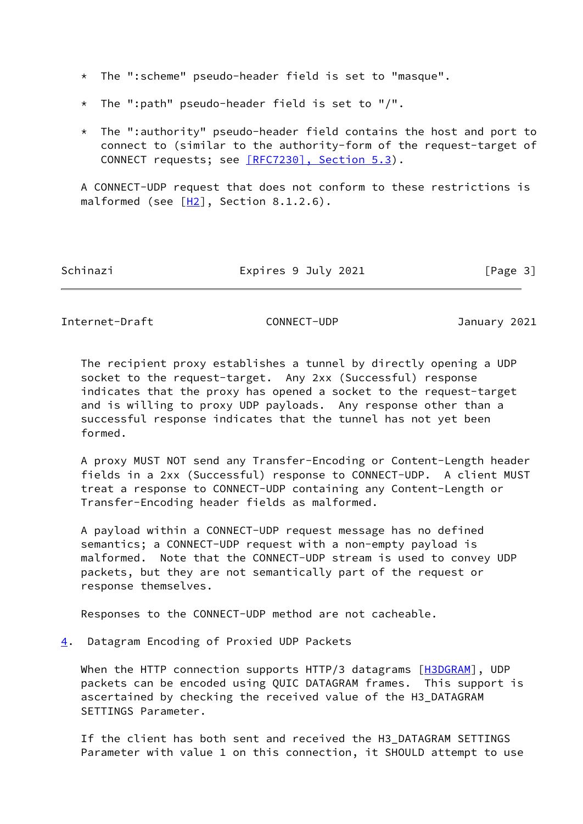\* The ":scheme" pseudo-header field is set to "masque".

- \* The ":path" pseudo-header field is set to "/".
- \* The ":authority" pseudo-header field contains the host and port to connect to (similar to the authority-form of the request-target of CONNECT requests; see [\[RFC7230\], Section](https://datatracker.ietf.org/doc/pdf/rfc7230#section-5.3) 5.3).

 A CONNECT-UDP request that does not conform to these restrictions is malformed (see  $[H2]$  $[H2]$ , Section 8.1.2.6).

| Schinazi |  |
|----------|--|
|          |  |

Expires 9 July 2021 [Page 3]

<span id="page-3-1"></span>Internet-Draft CONNECT-UDP January 2021

 The recipient proxy establishes a tunnel by directly opening a UDP socket to the request-target. Any 2xx (Successful) response indicates that the proxy has opened a socket to the request-target and is willing to proxy UDP payloads. Any response other than a successful response indicates that the tunnel has not yet been formed.

 A proxy MUST NOT send any Transfer-Encoding or Content-Length header fields in a 2xx (Successful) response to CONNECT-UDP. A client MUST treat a response to CONNECT-UDP containing any Content-Length or Transfer-Encoding header fields as malformed.

 A payload within a CONNECT-UDP request message has no defined semantics; a CONNECT-UDP request with a non-empty payload is malformed. Note that the CONNECT-UDP stream is used to convey UDP packets, but they are not semantically part of the request or response themselves.

Responses to the CONNECT-UDP method are not cacheable.

<span id="page-3-0"></span>[4](#page-3-0). Datagram Encoding of Proxied UDP Packets

When the HTTP connection supports HTTP/3 datagrams [[H3DGRAM\]](#page-10-5), UDP packets can be encoded using QUIC DATAGRAM frames. This support is ascertained by checking the received value of the H3\_DATAGRAM SETTINGS Parameter.

 If the client has both sent and received the H3\_DATAGRAM SETTINGS Parameter with value 1 on this connection, it SHOULD attempt to use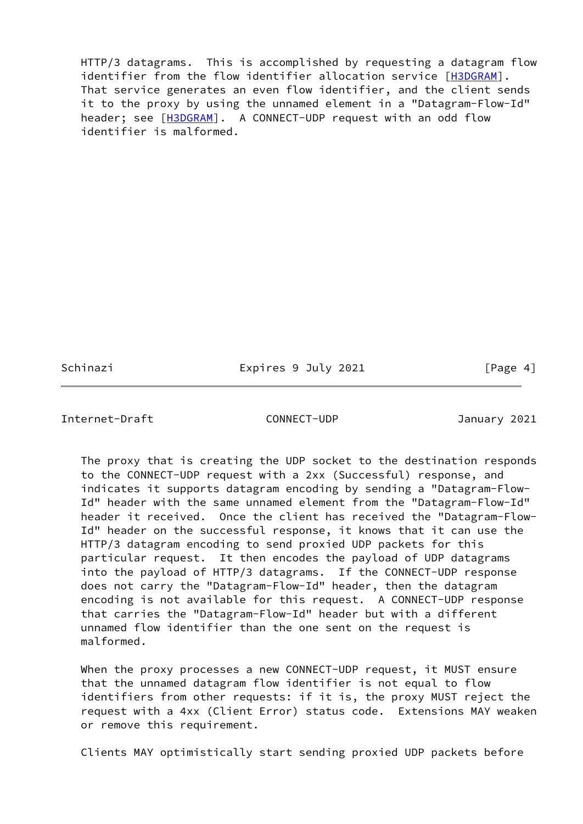HTTP/3 datagrams. This is accomplished by requesting a datagram flow identifier from the flow identifier allocation service [\[H3DGRAM](#page-10-5)]. That service generates an even flow identifier, and the client sends it to the proxy by using the unnamed element in a "Datagram-Flow-Id" header; see [\[H3DGRAM](#page-10-5)]. A CONNECT-UDP request with an odd flow identifier is malformed.

Schinazi **Expires 9 July 2021** [Page 4]

Internet-Draft CONNECT-UDP January 2021

 The proxy that is creating the UDP socket to the destination responds to the CONNECT-UDP request with a 2xx (Successful) response, and indicates it supports datagram encoding by sending a "Datagram-Flow- Id" header with the same unnamed element from the "Datagram-Flow-Id" header it received. Once the client has received the "Datagram-Flow- Id" header on the successful response, it knows that it can use the HTTP/3 datagram encoding to send proxied UDP packets for this particular request. It then encodes the payload of UDP datagrams into the payload of HTTP/3 datagrams. If the CONNECT-UDP response does not carry the "Datagram-Flow-Id" header, then the datagram encoding is not available for this request. A CONNECT-UDP response that carries the "Datagram-Flow-Id" header but with a different unnamed flow identifier than the one sent on the request is malformed.

 When the proxy processes a new CONNECT-UDP request, it MUST ensure that the unnamed datagram flow identifier is not equal to flow identifiers from other requests: if it is, the proxy MUST reject the request with a 4xx (Client Error) status code. Extensions MAY weaken or remove this requirement.

Clients MAY optimistically start sending proxied UDP packets before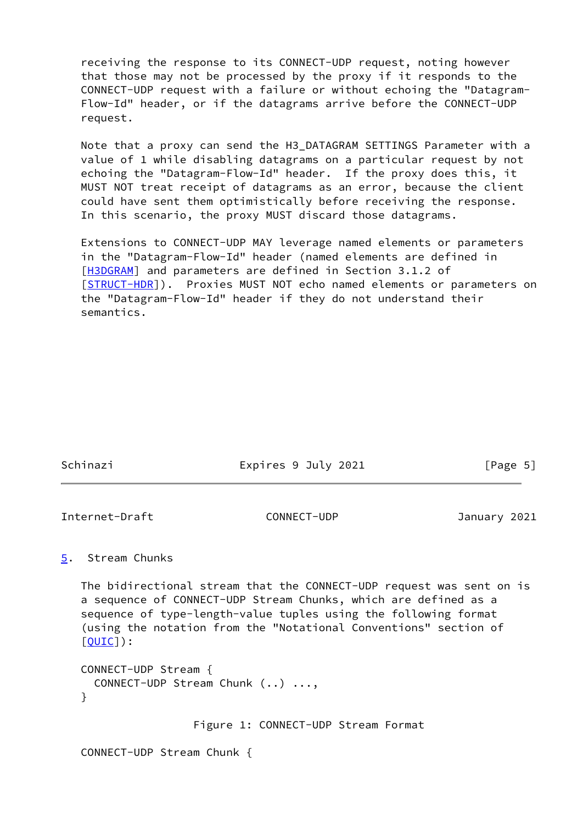receiving the response to its CONNECT-UDP request, noting however that those may not be processed by the proxy if it responds to the CONNECT-UDP request with a failure or without echoing the "Datagram- Flow-Id" header, or if the datagrams arrive before the CONNECT-UDP request.

 Note that a proxy can send the H3\_DATAGRAM SETTINGS Parameter with a value of 1 while disabling datagrams on a particular request by not echoing the "Datagram-Flow-Id" header. If the proxy does this, it MUST NOT treat receipt of datagrams as an error, because the client could have sent them optimistically before receiving the response. In this scenario, the proxy MUST discard those datagrams.

 Extensions to CONNECT-UDP MAY leverage named elements or parameters in the "Datagram-Flow-Id" header (named elements are defined in [\[H3DGRAM](#page-10-5)] and parameters are defined in Section 3.1.2 of [\[STRUCT-HDR\]](#page-11-3)). Proxies MUST NOT echo named elements or parameters on the "Datagram-Flow-Id" header if they do not understand their semantics.

| Schinazi | Expires 9 July 2021 | [Page 5] |
|----------|---------------------|----------|
|          |                     |          |

<span id="page-5-1"></span>Internet-Draft CONNECT-UDP January 2021

## <span id="page-5-0"></span>[5](#page-5-0). Stream Chunks

 The bidirectional stream that the CONNECT-UDP request was sent on is a sequence of CONNECT-UDP Stream Chunks, which are defined as a sequence of type-length-value tuples using the following format (using the notation from the "Notational Conventions" section of [\[QUIC](#page-10-2)]):

```
 CONNECT-UDP Stream {
  CONNECT-UDP Stream Chunk (..) ...,
}
```
Figure 1: CONNECT-UDP Stream Format

CONNECT-UDP Stream Chunk {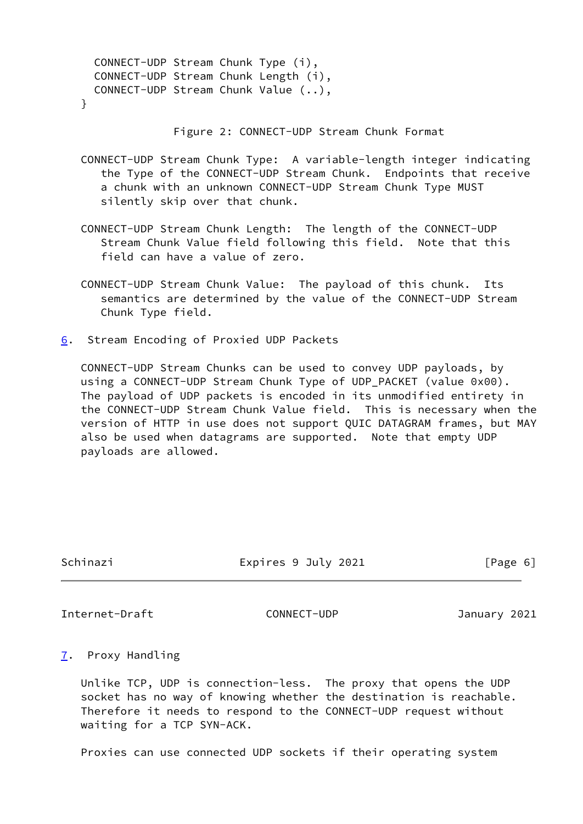| CONNECT-UDP Stream Chunk Type (i),        |  |  |
|-------------------------------------------|--|--|
| CONNECT-UDP Stream Chunk Length (i),      |  |  |
| CONNECT-UDP Stream Chunk Value $\ldots$ , |  |  |
|                                           |  |  |

Figure 2: CONNECT-UDP Stream Chunk Format

- CONNECT-UDP Stream Chunk Type: A variable-length integer indicating the Type of the CONNECT-UDP Stream Chunk. Endpoints that receive a chunk with an unknown CONNECT-UDP Stream Chunk Type MUST silently skip over that chunk.
- CONNECT-UDP Stream Chunk Length: The length of the CONNECT-UDP Stream Chunk Value field following this field. Note that this field can have a value of zero.
- CONNECT-UDP Stream Chunk Value: The payload of this chunk. Its semantics are determined by the value of the CONNECT-UDP Stream Chunk Type field.
- <span id="page-6-0"></span>[6](#page-6-0). Stream Encoding of Proxied UDP Packets

 CONNECT-UDP Stream Chunks can be used to convey UDP payloads, by using a CONNECT-UDP Stream Chunk Type of UDP\_PACKET (value 0x00). The payload of UDP packets is encoded in its unmodified entirety in the CONNECT-UDP Stream Chunk Value field. This is necessary when the version of HTTP in use does not support QUIC DATAGRAM frames, but MAY also be used when datagrams are supported. Note that empty UDP payloads are allowed.

Schinazi Expires 9 July 2021 [Page 6]

<span id="page-6-2"></span>Internet-Draft CONNECT-UDP January 2021

<span id="page-6-1"></span>[7](#page-6-1). Proxy Handling

 Unlike TCP, UDP is connection-less. The proxy that opens the UDP socket has no way of knowing whether the destination is reachable. Therefore it needs to respond to the CONNECT-UDP request without waiting for a TCP SYN-ACK.

Proxies can use connected UDP sockets if their operating system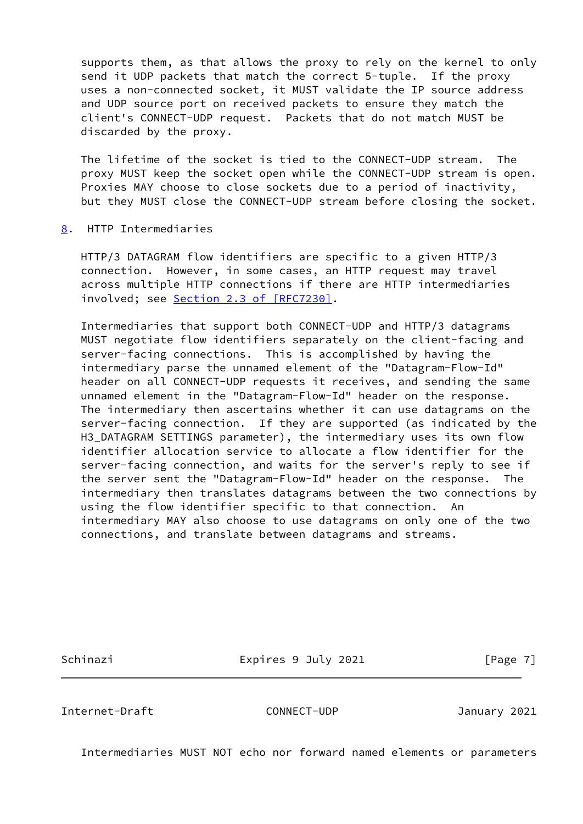supports them, as that allows the proxy to rely on the kernel to only send it UDP packets that match the correct 5-tuple. If the proxy uses a non-connected socket, it MUST validate the IP source address and UDP source port on received packets to ensure they match the client's CONNECT-UDP request. Packets that do not match MUST be discarded by the proxy.

 The lifetime of the socket is tied to the CONNECT-UDP stream. The proxy MUST keep the socket open while the CONNECT-UDP stream is open. Proxies MAY choose to close sockets due to a period of inactivity, but they MUST close the CONNECT-UDP stream before closing the socket.

<span id="page-7-0"></span>[8](#page-7-0). HTTP Intermediaries

 HTTP/3 DATAGRAM flow identifiers are specific to a given HTTP/3 connection. However, in some cases, an HTTP request may travel across multiple HTTP connections if there are HTTP intermediaries involved; see Section [2.3 of \[RFC7230\]](https://datatracker.ietf.org/doc/pdf/rfc7230#section-2.3).

 Intermediaries that support both CONNECT-UDP and HTTP/3 datagrams MUST negotiate flow identifiers separately on the client-facing and server-facing connections. This is accomplished by having the intermediary parse the unnamed element of the "Datagram-Flow-Id" header on all CONNECT-UDP requests it receives, and sending the same unnamed element in the "Datagram-Flow-Id" header on the response. The intermediary then ascertains whether it can use datagrams on the server-facing connection. If they are supported (as indicated by the H3\_DATAGRAM SETTINGS parameter), the intermediary uses its own flow identifier allocation service to allocate a flow identifier for the server-facing connection, and waits for the server's reply to see if the server sent the "Datagram-Flow-Id" header on the response. The intermediary then translates datagrams between the two connections by using the flow identifier specific to that connection. An intermediary MAY also choose to use datagrams on only one of the two connections, and translate between datagrams and streams.

Schinazi **Expires 9 July 2021** [Page 7]

<span id="page-7-1"></span>Internet-Draft CONNECT-UDP January 2021

Intermediaries MUST NOT echo nor forward named elements or parameters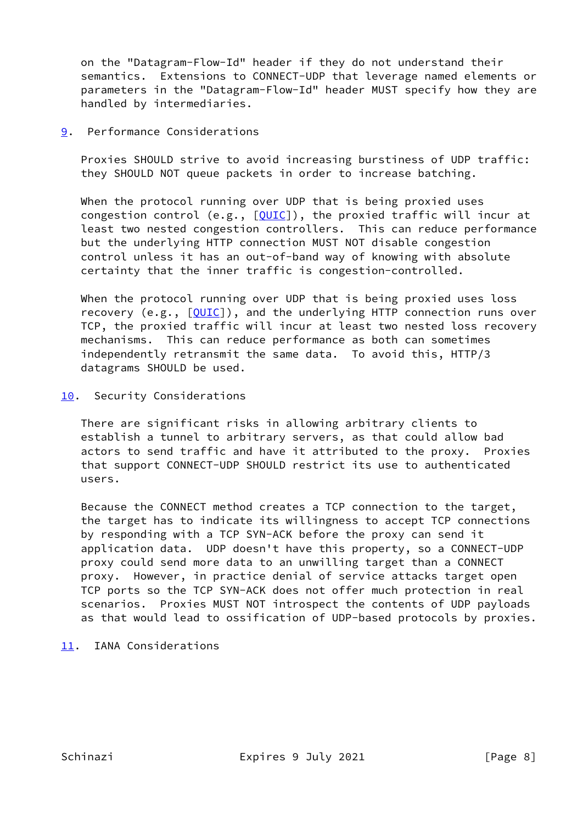on the "Datagram-Flow-Id" header if they do not understand their semantics. Extensions to CONNECT-UDP that leverage named elements or parameters in the "Datagram-Flow-Id" header MUST specify how they are handled by intermediaries.

<span id="page-8-0"></span>[9](#page-8-0). Performance Considerations

 Proxies SHOULD strive to avoid increasing burstiness of UDP traffic: they SHOULD NOT queue packets in order to increase batching.

When the protocol running over UDP that is being proxied uses congestion control (e.g.,  $[QUIC]$  $[QUIC]$ ), the proxied traffic will incur at least two nested congestion controllers. This can reduce performance but the underlying HTTP connection MUST NOT disable congestion control unless it has an out-of-band way of knowing with absolute certainty that the inner traffic is congestion-controlled.

 When the protocol running over UDP that is being proxied uses loss recovery (e.g., [\[QUIC](#page-10-2)]), and the underlying HTTP connection runs over TCP, the proxied traffic will incur at least two nested loss recovery mechanisms. This can reduce performance as both can sometimes independently retransmit the same data. To avoid this, HTTP/3 datagrams SHOULD be used.

<span id="page-8-1"></span>[10.](#page-8-1) Security Considerations

 There are significant risks in allowing arbitrary clients to establish a tunnel to arbitrary servers, as that could allow bad actors to send traffic and have it attributed to the proxy. Proxies that support CONNECT-UDP SHOULD restrict its use to authenticated users.

 Because the CONNECT method creates a TCP connection to the target, the target has to indicate its willingness to accept TCP connections by responding with a TCP SYN-ACK before the proxy can send it application data. UDP doesn't have this property, so a CONNECT-UDP proxy could send more data to an unwilling target than a CONNECT proxy. However, in practice denial of service attacks target open TCP ports so the TCP SYN-ACK does not offer much protection in real scenarios. Proxies MUST NOT introspect the contents of UDP payloads as that would lead to ossification of UDP-based protocols by proxies.

<span id="page-8-2"></span>[11.](#page-8-2) IANA Considerations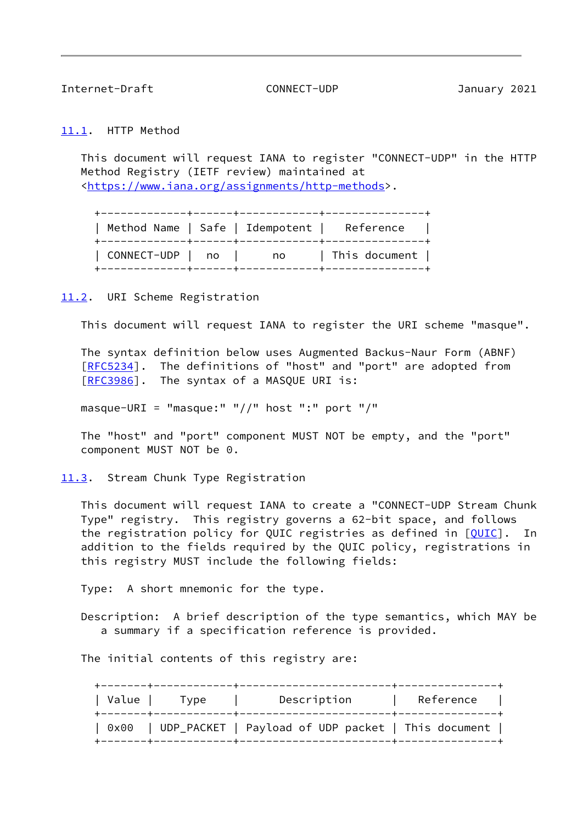<span id="page-9-1"></span><span id="page-9-0"></span>[11.1](#page-9-0). HTTP Method

 This document will request IANA to register "CONNECT-UDP" in the HTTP Method Registry (IETF review) maintained at [<https://www.iana.org/assignments/http-methods](https://www.iana.org/assignments/http-methods)>.

 +-------------+------+------------+---------------+ | Method Name | Safe | Idempotent | Reference | +-------------+------+------------+---------------+ | CONNECT-UDP | no | no | This document | +-------------+------+------------+---------------+

<span id="page-9-2"></span>[11.2](#page-9-2). URI Scheme Registration

This document will request IANA to register the URI scheme "masque".

 The syntax definition below uses Augmented Backus-Naur Form (ABNF) [\[RFC5234](https://datatracker.ietf.org/doc/pdf/rfc5234)]. The definitions of "host" and "port" are adopted from [\[RFC3986](https://datatracker.ietf.org/doc/pdf/rfc3986)]. The syntax of a MASQUE URI is:

masque-URI = "masque:" "//" host ":" port "/"

 The "host" and "port" component MUST NOT be empty, and the "port" component MUST NOT be 0.

<span id="page-9-3"></span>[11.3](#page-9-3). Stream Chunk Type Registration

 This document will request IANA to create a "CONNECT-UDP Stream Chunk Type" registry. This registry governs a 62-bit space, and follows the registration policy for QUIC registries as defined in  $[QUIC]$  $[QUIC]$ . In addition to the fields required by the QUIC policy, registrations in this registry MUST include the following fields:

Type: A short mnemonic for the type.

 Description: A brief description of the type semantics, which MAY be a summary if a specification reference is provided.

The initial contents of this registry are:

| Value | Type | Description                                        | Reference |
|-------|------|----------------------------------------------------|-----------|
| 0x00  |      | UDP_PACKET   Payload of UDP packet   This document |           |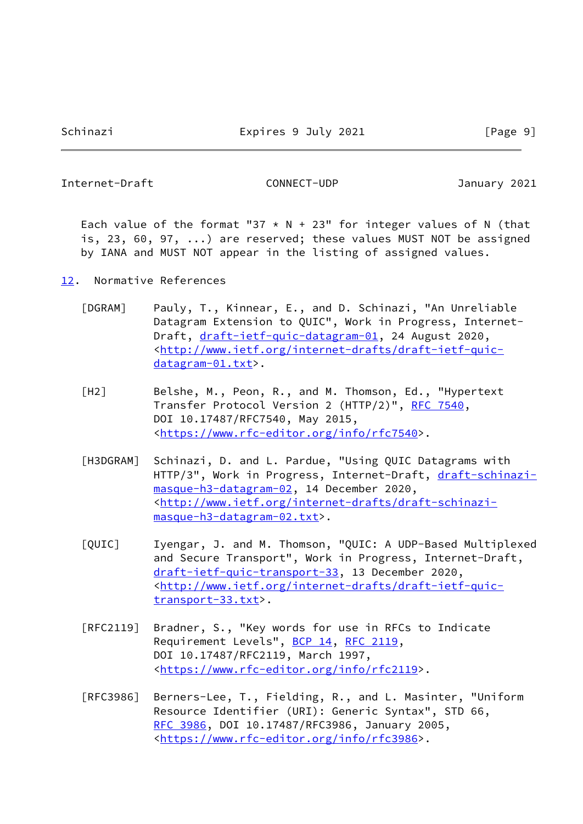<span id="page-10-1"></span>Each value of the format "37  $*$  N + 23" for integer values of N (that is, 23, 60, 97, ...) are reserved; these values MUST NOT be assigned by IANA and MUST NOT appear in the listing of assigned values.

- <span id="page-10-5"></span><span id="page-10-4"></span><span id="page-10-3"></span><span id="page-10-2"></span><span id="page-10-0"></span>[12.](#page-10-0) Normative References
	- [DGRAM] Pauly, T., Kinnear, E., and D. Schinazi, "An Unreliable Datagram Extension to QUIC", Work in Progress, Internet- Draft, [draft-ietf-quic-datagram-01](https://datatracker.ietf.org/doc/pdf/draft-ietf-quic-datagram-01), 24 August 2020, <[http://www.ietf.org/internet-drafts/draft-ietf-quic](http://www.ietf.org/internet-drafts/draft-ietf-quic-datagram-01.txt) [datagram-01.txt](http://www.ietf.org/internet-drafts/draft-ietf-quic-datagram-01.txt)>.
	- [H2] Belshe, M., Peon, R., and M. Thomson, Ed., "Hypertext Transfer Protocol Version 2 (HTTP/2)", [RFC 7540](https://datatracker.ietf.org/doc/pdf/rfc7540), DOI 10.17487/RFC7540, May 2015, <[https://www.rfc-editor.org/info/rfc7540>](https://www.rfc-editor.org/info/rfc7540).
	- [H3DGRAM] Schinazi, D. and L. Pardue, "Using QUIC Datagrams with HTTP/3", Work in Progress, Internet-Draft, [draft-schinazi](https://datatracker.ietf.org/doc/pdf/draft-schinazi-masque-h3-datagram-02) [masque-h3-datagram-02,](https://datatracker.ietf.org/doc/pdf/draft-schinazi-masque-h3-datagram-02) 14 December 2020, <[http://www.ietf.org/internet-drafts/draft-schinazi](http://www.ietf.org/internet-drafts/draft-schinazi-masque-h3-datagram-02.txt) [masque-h3-datagram-02.txt>](http://www.ietf.org/internet-drafts/draft-schinazi-masque-h3-datagram-02.txt).
	- [QUIC] Iyengar, J. and M. Thomson, "QUIC: A UDP-Based Multiplexed and Secure Transport", Work in Progress, Internet-Draft, [draft-ietf-quic-transport-33,](https://datatracker.ietf.org/doc/pdf/draft-ietf-quic-transport-33) 13 December 2020, <[http://www.ietf.org/internet-drafts/draft-ietf-quic](http://www.ietf.org/internet-drafts/draft-ietf-quic-transport-33.txt) [transport-33.txt>](http://www.ietf.org/internet-drafts/draft-ietf-quic-transport-33.txt).
	- [RFC2119] Bradner, S., "Key words for use in RFCs to Indicate Requirement Levels", [BCP 14](https://datatracker.ietf.org/doc/pdf/bcp14), [RFC 2119](https://datatracker.ietf.org/doc/pdf/rfc2119), DOI 10.17487/RFC2119, March 1997, <[https://www.rfc-editor.org/info/rfc2119>](https://www.rfc-editor.org/info/rfc2119).
	- [RFC3986] Berners-Lee, T., Fielding, R., and L. Masinter, "Uniform Resource Identifier (URI): Generic Syntax", STD 66, [RFC 3986,](https://datatracker.ietf.org/doc/pdf/rfc3986) DOI 10.17487/RFC3986, January 2005, <[https://www.rfc-editor.org/info/rfc3986>](https://www.rfc-editor.org/info/rfc3986).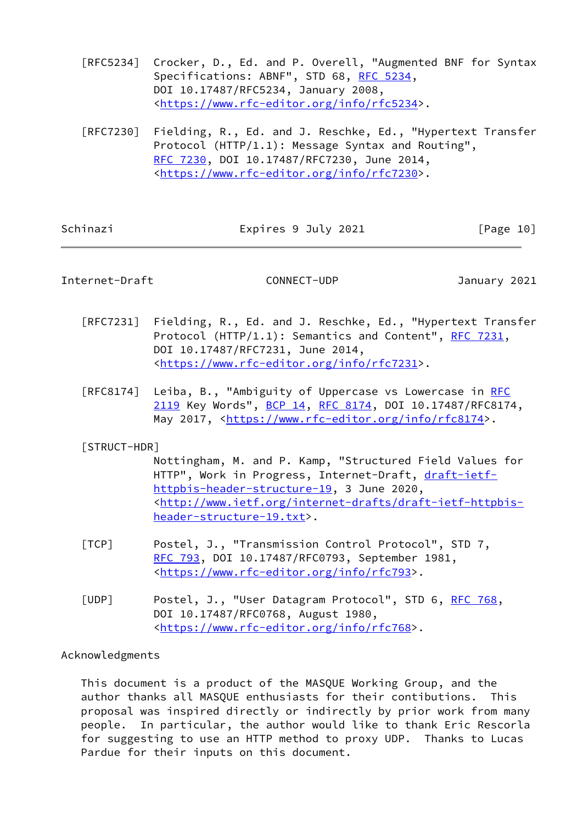- [RFC5234] Crocker, D., Ed. and P. Overell, "Augmented BNF for Syntax Specifications: ABNF", STD 68, [RFC 5234](https://datatracker.ietf.org/doc/pdf/rfc5234), DOI 10.17487/RFC5234, January 2008, <[https://www.rfc-editor.org/info/rfc5234>](https://www.rfc-editor.org/info/rfc5234).
- [RFC7230] Fielding, R., Ed. and J. Reschke, Ed., "Hypertext Transfer Protocol (HTTP/1.1): Message Syntax and Routing", [RFC 7230,](https://datatracker.ietf.org/doc/pdf/rfc7230) DOI 10.17487/RFC7230, June 2014, <[https://www.rfc-editor.org/info/rfc7230>](https://www.rfc-editor.org/info/rfc7230).

<span id="page-11-0"></span>

| Schinazi | Expires 9 July 2021 | [Page 10] |
|----------|---------------------|-----------|
|          |                     |           |

- [RFC7231] Fielding, R., Ed. and J. Reschke, Ed., "Hypertext Transfer Protocol (HTTP/1.1): Semantics and Content", [RFC 7231](https://datatracker.ietf.org/doc/pdf/rfc7231), DOI 10.17487/RFC7231, June 2014, <[https://www.rfc-editor.org/info/rfc7231>](https://www.rfc-editor.org/info/rfc7231).
- [RFC8174] Leiba, B., "Ambiguity of Uppercase vs Lowercase in [RFC](https://datatracker.ietf.org/doc/pdf/rfc2119) [2119](https://datatracker.ietf.org/doc/pdf/rfc2119) Key Words", [BCP 14](https://datatracker.ietf.org/doc/pdf/bcp14), [RFC 8174,](https://datatracker.ietf.org/doc/pdf/rfc8174) DOI 10.17487/RFC8174, May 2017, [<https://www.rfc-editor.org/info/rfc8174](https://www.rfc-editor.org/info/rfc8174)>.

## <span id="page-11-3"></span>[STRUCT-HDR]

 Nottingham, M. and P. Kamp, "Structured Field Values for HTTP", Work in Progress, Internet-Draft, [draft-ietf](https://datatracker.ietf.org/doc/pdf/draft-ietf-httpbis-header-structure-19) [httpbis-header-structure-19](https://datatracker.ietf.org/doc/pdf/draft-ietf-httpbis-header-structure-19), 3 June 2020, <[http://www.ietf.org/internet-drafts/draft-ietf-httpbis](http://www.ietf.org/internet-drafts/draft-ietf-httpbis-header-structure-19.txt) [header-structure-19.txt](http://www.ietf.org/internet-drafts/draft-ietf-httpbis-header-structure-19.txt)>.

- <span id="page-11-2"></span> [TCP] Postel, J., "Transmission Control Protocol", STD 7, [RFC 793](https://datatracker.ietf.org/doc/pdf/rfc793), DOI 10.17487/RFC0793, September 1981, <<https://www.rfc-editor.org/info/rfc793>>.
- <span id="page-11-1"></span>[UDP] Postel, J., "User Datagram Protocol", STD 6, [RFC 768](https://datatracker.ietf.org/doc/pdf/rfc768), DOI 10.17487/RFC0768, August 1980, <<https://www.rfc-editor.org/info/rfc768>>.

## Acknowledgments

 This document is a product of the MASQUE Working Group, and the author thanks all MASQUE enthusiasts for their contibutions. This proposal was inspired directly or indirectly by prior work from many people. In particular, the author would like to thank Eric Rescorla for suggesting to use an HTTP method to proxy UDP. Thanks to Lucas Pardue for their inputs on this document.